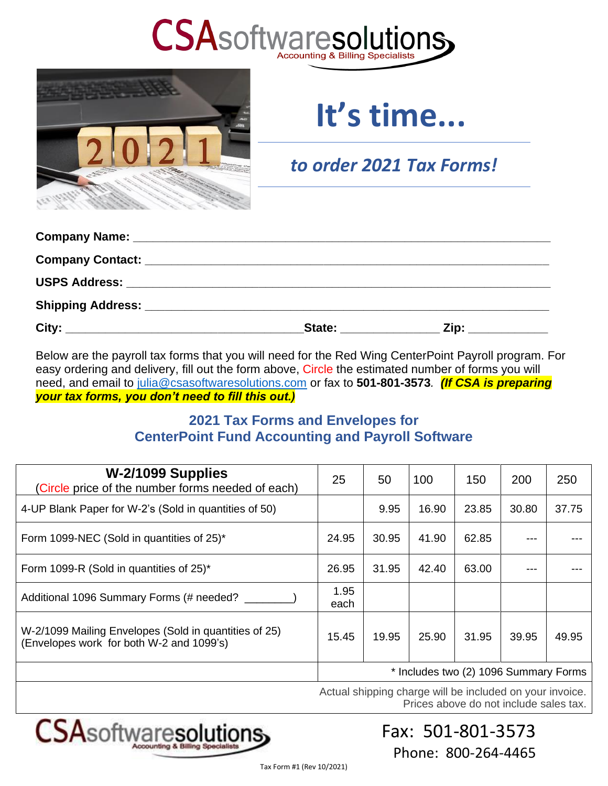



# **It's time...**

*to order 2021 Tax Forms!*

Below are the payroll tax forms that you will need for the Red Wing CenterPoint Payroll program. For easy ordering and delivery, fill out the form above, Circle the estimated number of forms you will need, and email to [julia@csasoftwaresolutions.com](mailto:julia@csasoftwaresolutions.com) or fax to **501-801-3573***. (If CSA is preparing your tax forms, you don't need to fill this out.)*

## **2021 Tax Forms and Envelopes for CenterPoint Fund Accounting and Payroll Software**

| W-2/1099 Supplies<br>(Circle price of the number forms needed of each)                            | 25           | 50    | 100                                   | 150   | 200   | 250   |
|---------------------------------------------------------------------------------------------------|--------------|-------|---------------------------------------|-------|-------|-------|
| 4-UP Blank Paper for W-2's (Sold in quantities of 50)                                             |              | 9.95  | 16.90                                 | 23.85 | 30.80 | 37.75 |
| Form 1099-NEC (Sold in quantities of 25)*                                                         | 24.95        | 30.95 | 41.90                                 | 62.85 |       |       |
| Form 1099-R (Sold in quantities of 25)*                                                           | 26.95        | 31.95 | 42.40                                 | 63.00 |       |       |
| Additional 1096 Summary Forms (# needed?                                                          | 1.95<br>each |       |                                       |       |       |       |
| W-2/1099 Mailing Envelopes (Sold in quantities of 25)<br>(Envelopes work for both W-2 and 1099's) | 15.45        | 19.95 | 25.90                                 | 31.95 | 39.95 | 49.95 |
|                                                                                                   |              |       | * Includes two (2) 1096 Summary Forms |       |       |       |

Actual shipping charge will be included on your invoice. Prices above do not include sales tax.



Fax: 501-801-3573 Phone: 800-264-4465

Tax Form #1 (Rev 10/2021)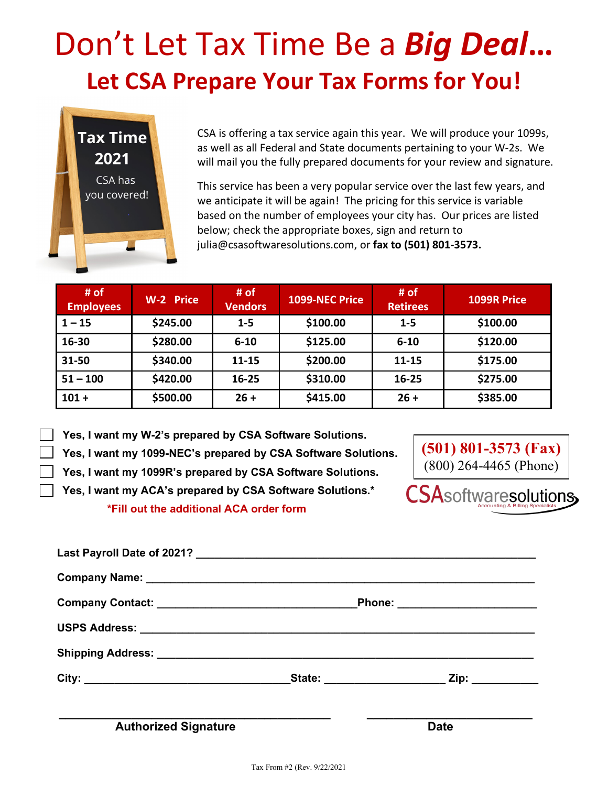# Don't Let Tax Time Be a *Big Deal***… Let CSA Prepare Your Tax Forms for You!**



CSA is offering a tax service again this year. We will produce your 1099s, as well as all Federal and State documents pertaining to your W-2s. We will mail you the fully prepared documents for your review and signature.

This service has been a very popular service over the last few years, and we anticipate it will be again! The pricing for this service is variable based on the number of employees your city has. Our prices are listed below; check the appropriate boxes, sign and return to julia@csasoftwaresolutions.com, or **fax to (501) 801-3573.**

| # of<br><b>Employees</b> | W-2 Price | # of<br><b>Vendors</b> | 1099-NEC Price | # of<br><b>Retirees</b> | 1099R Price |
|--------------------------|-----------|------------------------|----------------|-------------------------|-------------|
| $1 - 15$                 | \$245.00  | $1 - 5$                | \$100.00       | $1 - 5$                 | \$100.00    |
| 16-30                    | \$280.00  | $6 - 10$               | \$125.00       | $6 - 10$                | \$120.00    |
| 31-50                    | \$340.00  | $11 - 15$              | \$200.00       | $11 - 15$               | \$175.00    |
| $51 - 100$               | \$420.00  | $16 - 25$              | \$310.00       | $16 - 25$               | \$275.00    |
| $101 +$                  | \$500.00  | $26 +$                 | \$415.00       | $26 +$                  | \$385.00    |

 **Yes, I want my W-2's prepared by CSA Software Solutions.**

**Yes, I want my 1099-NEC's prepared by CSA Software Solutions.**

**Yes, I want my 1099R's prepared by CSA Software Solutions.**

**Yes, I want my ACA's prepared by CSA Software Solutions.\* \*Fill out the additional ACA order form**



**SA**softwaresolutions.

Tax From #2 (Rev. 9/22/2021